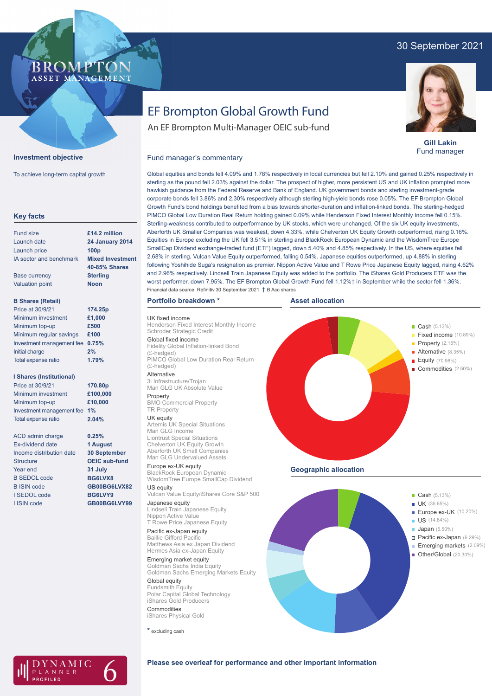# 30 September 2021

# **BROMP** ASSET MANAGEMENT



To achieve long-term capital growth

| <b>Key facts</b>                |                         |
|---------------------------------|-------------------------|
| Fund size                       | £14.2 million           |
| Launch date                     | <b>24 January 2014</b>  |
| Launch price                    | 100 <sub>p</sub>        |
| IA sector and benchmark         | <b>Mixed Investment</b> |
|                                 | 40-85% Shares           |
| <b>Base currency</b>            | <b>Sterling</b>         |
| <b>Valuation point</b>          | <b>Noon</b>             |
| <b>B Shares (Retail)</b>        |                         |
| Price at 30/9/21                | 174.25p                 |
| Minimum investment              | £1,000                  |
| Minimum top-up                  | £500                    |
| Minimum regular savings         | £100                    |
| Investment management fee       | 0.75%                   |
| Initial charge                  | 2%                      |
| Total expense ratio             | 1.79%                   |
| <b>I Shares (Institutional)</b> |                         |
| Price at 30/9/21                | 170.80p                 |
| Minimum investment              | £100,000                |
| Minimum top-up                  | £10,000                 |
| Investment management fee       | 1%                      |
| Total expense ratio             | 2.04%                   |
| <b>ACD</b> admin charge         | 0.25%                   |
| <b>Fx-dividend date</b>         | 1 August                |
| Income distribution date        | <b>30 September</b>     |
| Structure                       | <b>OEIC</b> sub-fund    |
| Year end                        | 31 July                 |
| <b>B SEDOL code</b>             | BG6LVX8                 |
| <b>B ISIN code</b>              | GB00BG6LVX82            |
| I SEDOL code                    | BG6LVY9                 |
| I ISIN code                     | GB00BG6LVY99            |

# EF Brompton Global Growth Fund

An EF Brompton Multi-Manager OEIC sub-fund



**Gill Lakin** Fund manager

### Global equities and bonds fell 4.09% and 1.78% respectively in local currencies but fell 2.10% and gained 0.25% respectively in sterling as the pound fell 2.03% against the dollar. The prospect of higher, more persistent US and UK inflation prompted more hawkish guidance from the Federal Reserve and Bank of England. UK government bonds and sterling investment-grade corporate bonds fell 3.86% and 2.30% respectively although sterling high-yield bonds rose 0.05%. The EF Brompton Global Growth Fund's bond holdings benefited from a bias towards shorter-duration and inflation-linked bonds. The sterling-hedged PIMCO Global Low Duration Real Return holding gained 0.09% while Henderson Fixed Interest Monthly Income fell 0.15%. Sterling-weakness contributed to outperformance by UK stocks, which were unchanged. Of the six UK equity investments, Aberforth UK Smaller Companies was weakest, down 4.33%, while Chelverton UK Equity Growth outperformed, rising 0.16%. Equities in Europe excluding the UK fell 3.51% in sterling and BlackRock European Dynamic and the WisdomTree Europe SmallCap Dividend exchange-traded fund (ETF) lagged, down 5.40% and 4.85% respectively. In the US, where equities fell 2.68% in sterling, Vulcan Value Equity outperformed, falling 0.54%. Japanese equities outperformed, up 4.88% in sterling following Yoshihide Suga's resignation as premier. Nippon Active Value and T Rowe Price Japanese Equity lagged, rising 4.62% and 2.96% respectively. Lindsell Train Japanese Equity was added to the portfolio. The iShares Gold Producers ETF was the worst performer, down 7.95%. The EF Brompton Global Growth Fund fell 1.12%† in September while the sector fell 1.36%.

## **Portfolio breakdown \***

Fund manager's commentary

UK fixed income Henderson Fixed Interest Monthly Income Schroder Strategic Credit Global fixed income Fidelity Global Inflation-linked Bond

(£-hedged) PIMCO Global Low Duration Real Return (£-hedged)

Alternative 3i Infrastructure/Trojan Man GLG UK Absolute Value

Property BMO Commercial Property

# TR Property

**UK equity**<br>Artemis UK Special Situations Man GLG Income Liontrust Special Situations Chelverton UK Equity Growth Aberforth UK Small Companies Man GLG Undervalued Assets

Europe ex-UK equity BlackRock European Dynamic WisdomTree Europe SmallCap Dividend US equity

Vulcan Value Equity/iShares Core S&P 500 Japanese equity

Lindsell Train Japanese Equity Nippon Active Value T Rowe Price Japanese Equity

Pacific ex-Japan equity Baillie Gifford Pacific Matthews Asia ex Japan Dividend Hermes Asia ex-Japan Equity

Emerging market equity Goldman Sachs India Equity Goldman Sachs Emerging Markets Equity

Global equity Fundsmith Equity Polar Capital Global Technology iShares Gold Producers Commodities iShares Physical Gold

**\*** excluding cash







## **Please see overleaf for performance and other important information**